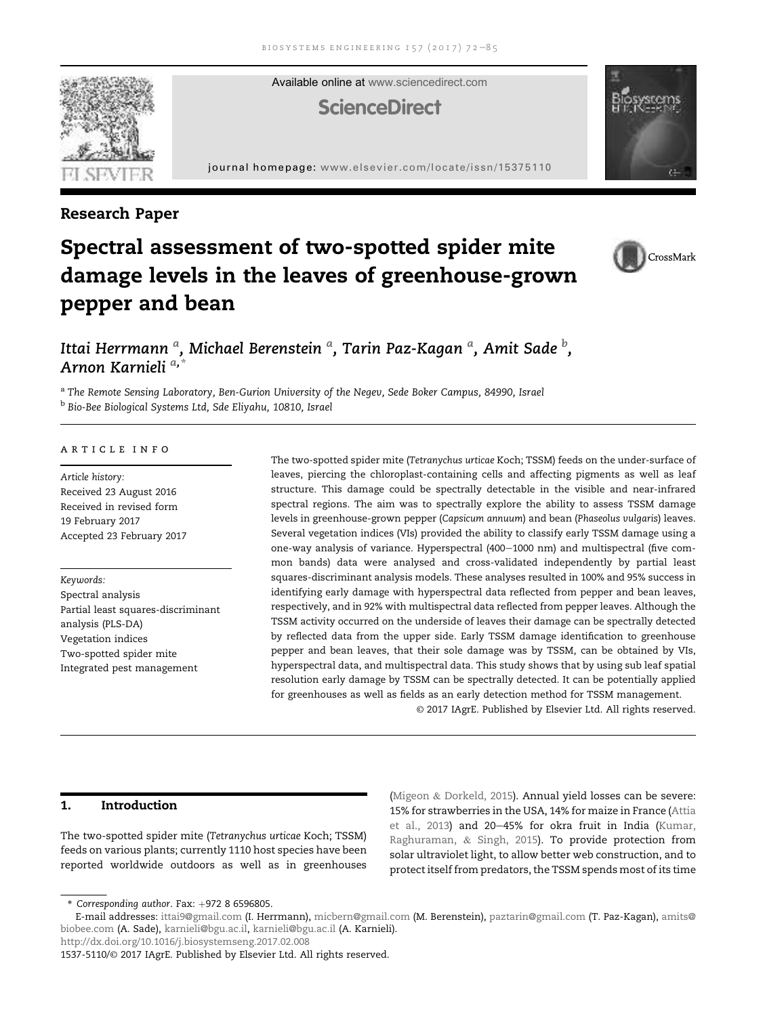

Available online at www.sciencedirect.com

**ScienceDirect** 

journal homepage: www.elsevier.com/locate/issn/15375110

# Research Paper

# Spectral assessment of two-spotted spider mite damage levels in the leaves of greenhouse-grown pepper and bean



# Ittai Herrmann <sup>a</sup>, Michael Berenstein <sup>a</sup>, Tarin Paz-Kagan <sup>a</sup>, Amit Sade <sup>b</sup>, Arnon Karnieli a,\*

a *The Remote Sensing Laboratory, Ben-Gurion University of the Negev, Sede Boker Campus, 84990, Israel* b *Bio-Bee Biological Systems Ltd, Sde Eliyahu, 10810, Israel*

#### article info

*Article history:* Received 23 August 2016 Received in revised form 19 February 2017 Accepted 23 February 2017

*Keywords:* Spectral analysis Partial least squares-discriminant analysis (PLS-DA) Vegetation indices Two-spotted spider mite Integrated pest management

The two-spotted spider mite (*Tetranychus urticae* Koch; TSSM) feeds on the under-surface of leaves, piercing the chloroplast-containing cells and affecting pigments as well as leaf structure. This damage could be spectrally detectable in the visible and near-infrared spectral regions. The aim was to spectrally explore the ability to assess TSSM damage levels in greenhouse-grown pepper (*Capsicum annuum*) and bean (*Phaseolus vulgaris*) leaves. Several vegetation indices (VIs) provided the ability to classify early TSSM damage using a one-way analysis of variance. Hyperspectral (400-1000 nm) and multispectral (five common bands) data were analysed and cross-validated independently by partial least squares-discriminant analysis models. These analyses resulted in 100% and 95% success in identifying early damage with hyperspectral data reflected from pepper and bean leaves, respectively, and in 92% with multispectral data reflected from pepper leaves. Although the TSSM activity occurred on the underside of leaves their damage can be spectrally detected by reflected data from the upper side. Early TSSM damage identification to greenhouse pepper and bean leaves, that their sole damage was by TSSM, can be obtained by VIs, hyperspectral data, and multispectral data. This study shows that by using sub leaf spatial resolution early damage by TSSM can be spectrally detected. It can be potentially applied for greenhouses as well as fields as an early detection method for TSSM management.

© 2017 IAgrE. Published by Elsevier Ltd. All rights reserved.

# 1. Introduction

The two-spotted spider mite (*Tetranychus urticae* Koch; TSSM) feeds on various plants; currently 1110 host species have been reported worldwide outdoors as well as in greenhouses (Migeon & Dorkeld, 2015). Annual yield losses can be severe: 15% for strawberries in the USA, 14% for maize in France (Attia et al., 2013) and  $20-45%$  for okra fruit in India (Kumar, Raghuraman, & Singh, 2015). To provide protection from solar ultraviolet light, to allow better web construction, and to protect itself from predators, the TSSM spends most of its time

\* *Corresponding author*. Fax: þ972 8 6596805.

E-mail addresses: ittai9@gmail.com (I. Herrmann), micbern@gmail.com (M. Berenstein), paztarin@gmail.com (T. Paz-Kagan), amits@ biobee.com (A. Sade), karnieli@bgu.ac.il, karnieli@bgu.ac.il (A. Karnieli). http://dx.doi.org/10.1016/j.biosystemseng.2017.02.008

<sup>1537-5110/</sup>© 2017 IAgrE. Published by Elsevier Ltd. All rights reserved.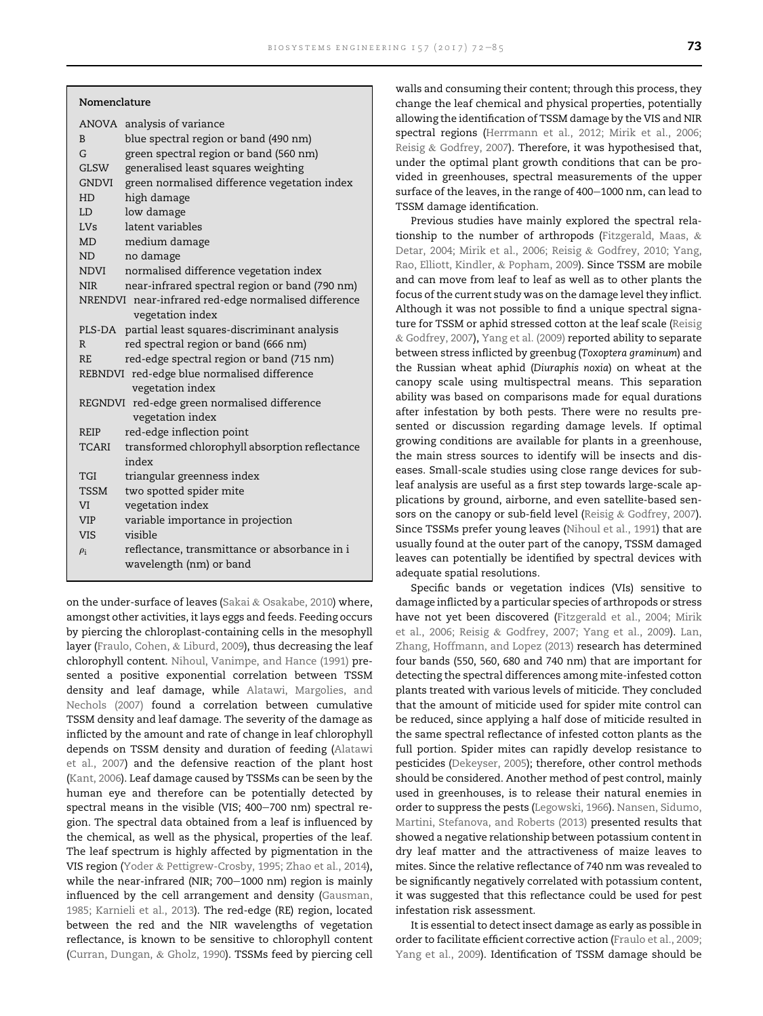#### Nomenclature

|              | ANOVA analysis of variance                           |  |  |  |  |  |
|--------------|------------------------------------------------------|--|--|--|--|--|
| <sub>B</sub> | blue spectral region or band (490 nm)                |  |  |  |  |  |
| G            | green spectral region or band (560 nm)               |  |  |  |  |  |
| GLSW         | generalised least squares weighting                  |  |  |  |  |  |
| GNDVI        | green normalised difference vegetation index         |  |  |  |  |  |
| HD.          | high damage                                          |  |  |  |  |  |
| LD           | low damage                                           |  |  |  |  |  |
| LVs          | latent variables                                     |  |  |  |  |  |
| MD           | medium damage                                        |  |  |  |  |  |
| ND           | no damage                                            |  |  |  |  |  |
| <b>NDVI</b>  | normalised difference vegetation index               |  |  |  |  |  |
| NIR          | near-infrared spectral region or band (790 nm)       |  |  |  |  |  |
|              | NRENDVI near-infrared red-edge normalised difference |  |  |  |  |  |
|              | vegetation index                                     |  |  |  |  |  |
|              | PLS-DA partial least squares-discriminant analysis   |  |  |  |  |  |
| R            | red spectral region or band (666 nm)                 |  |  |  |  |  |
| <b>RE</b>    | red-edge spectral region or band (715 nm)            |  |  |  |  |  |
|              | REBNDVI red-edge blue normalised difference          |  |  |  |  |  |
|              | vegetation index                                     |  |  |  |  |  |
|              | REGNDVI red-edge green normalised difference         |  |  |  |  |  |
|              | vegetation index                                     |  |  |  |  |  |
| <b>REIP</b>  | red-edge inflection point                            |  |  |  |  |  |
| TCARI        | transformed chlorophyll absorption reflectance       |  |  |  |  |  |
|              | index                                                |  |  |  |  |  |
| TGI          | triangular greenness index                           |  |  |  |  |  |
| <b>TSSM</b>  | two spotted spider mite                              |  |  |  |  |  |
| VI           | vegetation index                                     |  |  |  |  |  |
| <b>VIP</b>   | variable importance in projection                    |  |  |  |  |  |
| VIS.         | visible                                              |  |  |  |  |  |
| $\rho_i$     | reflectance, transmittance or absorbance in i        |  |  |  |  |  |
|              | wavelength (nm) or band                              |  |  |  |  |  |

on the under-surface of leaves (Sakai & Osakabe, 2010) where, amongst other activities, it lays eggs and feeds. Feeding occurs by piercing the chloroplast-containing cells in the mesophyll layer (Fraulo, Cohen, & Liburd, 2009), thus decreasing the leaf chlorophyll content. Nihoul, Vanimpe, and Hance (1991) presented a positive exponential correlation between TSSM density and leaf damage, while Alatawi, Margolies, and Nechols (2007) found a correlation between cumulative TSSM density and leaf damage. The severity of the damage as inflicted by the amount and rate of change in leaf chlorophyll depends on TSSM density and duration of feeding (Alatawi et al., 2007) and the defensive reaction of the plant host (Kant, 2006). Leaf damage caused by TSSMs can be seen by the human eye and therefore can be potentially detected by spectral means in the visible (VIS; 400-700 nm) spectral region. The spectral data obtained from a leaf is influenced by the chemical, as well as the physical, properties of the leaf. The leaf spectrum is highly affected by pigmentation in the VIS region (Yoder & Pettigrew-Crosby, 1995; Zhao et al., 2014), while the near-infrared (NIR;  $700-1000$  nm) region is mainly influenced by the cell arrangement and density (Gausman, 1985; Karnieli et al., 2013). The red-edge (RE) region, located between the red and the NIR wavelengths of vegetation reflectance, is known to be sensitive to chlorophyll content (Curran, Dungan, & Gholz, 1990). TSSMs feed by piercing cell

walls and consuming their content; through this process, they change the leaf chemical and physical properties, potentially allowing the identification of TSSM damage by the VIS and NIR spectral regions (Herrmann et al., 2012; Mirik et al., 2006; Reisig & Godfrey, 2007). Therefore, it was hypothesised that, under the optimal plant growth conditions that can be provided in greenhouses, spectral measurements of the upper surface of the leaves, in the range of 400-1000 nm, can lead to TSSM damage identification.

Previous studies have mainly explored the spectral relationship to the number of arthropods (Fitzgerald, Maas, & Detar, 2004; Mirik et al., 2006; Reisig & Godfrey, 2010; Yang, Rao, Elliott, Kindler, & Popham, 2009). Since TSSM are mobile and can move from leaf to leaf as well as to other plants the focus of the current study was on the damage level they inflict. Although it was not possible to find a unique spectral signature for TSSM or aphid stressed cotton at the leaf scale (Reisig & Godfrey, 2007), Yang et al. (2009) reported ability to separate between stress inflicted by greenbug (*Toxoptera graminum*) and the Russian wheat aphid (*Diuraphis noxia*) on wheat at the canopy scale using multispectral means. This separation ability was based on comparisons made for equal durations after infestation by both pests. There were no results presented or discussion regarding damage levels. If optimal growing conditions are available for plants in a greenhouse, the main stress sources to identify will be insects and diseases. Small-scale studies using close range devices for subleaf analysis are useful as a first step towards large-scale applications by ground, airborne, and even satellite-based sensors on the canopy or sub-field level (Reisig & Godfrey, 2007). Since TSSMs prefer young leaves (Nihoul et al., 1991) that are usually found at the outer part of the canopy, TSSM damaged leaves can potentially be identified by spectral devices with adequate spatial resolutions.

Specific bands or vegetation indices (VIs) sensitive to damage inflicted by a particular species of arthropods or stress have not yet been discovered (Fitzgerald et al., 2004; Mirik et al., 2006; Reisig & Godfrey, 2007; Yang et al., 2009). Lan, Zhang, Hoffmann, and Lopez (2013) research has determined four bands (550, 560, 680 and 740 nm) that are important for detecting the spectral differences among mite-infested cotton plants treated with various levels of miticide. They concluded that the amount of miticide used for spider mite control can be reduced, since applying a half dose of miticide resulted in the same spectral reflectance of infested cotton plants as the full portion. Spider mites can rapidly develop resistance to pesticides (Dekeyser, 2005); therefore, other control methods should be considered. Another method of pest control, mainly used in greenhouses, is to release their natural enemies in order to suppress the pests (Legowski, 1966). Nansen, Sidumo, Martini, Stefanova, and Roberts (2013) presented results that showed a negative relationship between potassium content in dry leaf matter and the attractiveness of maize leaves to mites. Since the relative reflectance of 740 nm was revealed to be significantly negatively correlated with potassium content, it was suggested that this reflectance could be used for pest infestation risk assessment.

It is essential to detect insect damage as early as possible in order to facilitate efficient corrective action (Fraulo et al., 2009; Yang et al., 2009). Identification of TSSM damage should be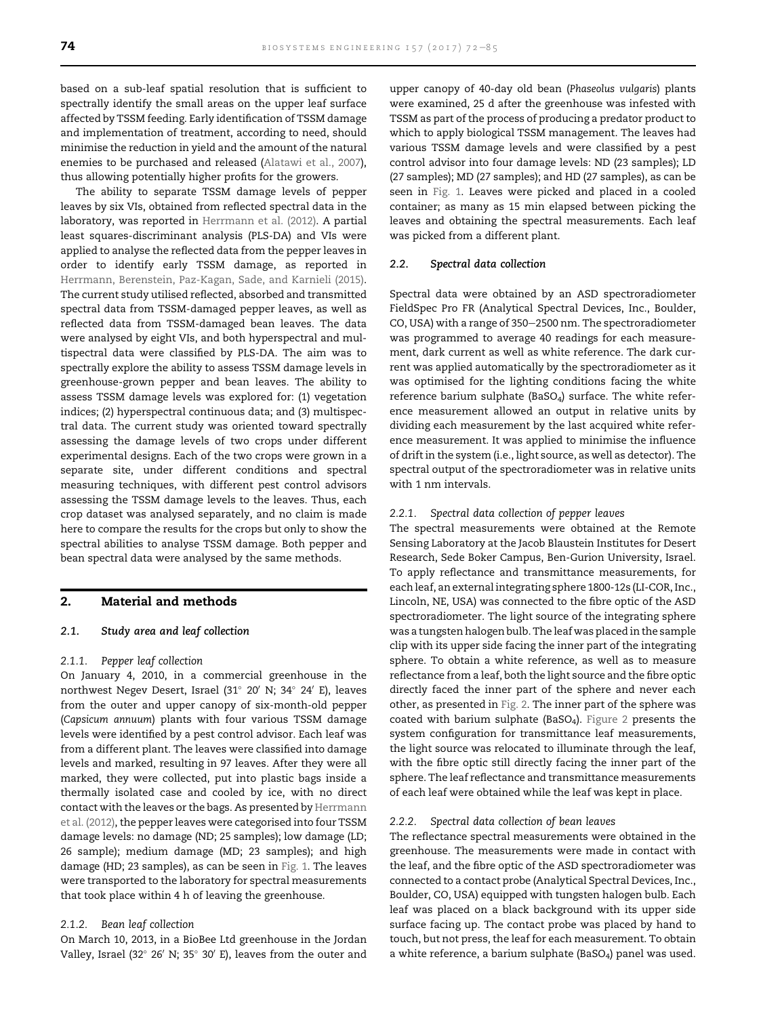based on a sub-leaf spatial resolution that is sufficient to spectrally identify the small areas on the upper leaf surface affected by TSSM feeding. Early identification of TSSM damage and implementation of treatment, according to need, should minimise the reduction in yield and the amount of the natural enemies to be purchased and released (Alatawi et al., 2007), thus allowing potentially higher profits for the growers.

The ability to separate TSSM damage levels of pepper leaves by six VIs, obtained from reflected spectral data in the laboratory, was reported in Herrmann et al. (2012). A partial least squares-discriminant analysis (PLS-DA) and VIs were applied to analyse the reflected data from the pepper leaves in order to identify early TSSM damage, as reported in Herrmann, Berenstein, Paz-Kagan, Sade, and Karnieli (2015). The current study utilised reflected, absorbed and transmitted spectral data from TSSM-damaged pepper leaves, as well as reflected data from TSSM-damaged bean leaves. The data were analysed by eight VIs, and both hyperspectral and multispectral data were classified by PLS-DA. The aim was to spectrally explore the ability to assess TSSM damage levels in greenhouse-grown pepper and bean leaves. The ability to assess TSSM damage levels was explored for: (1) vegetation indices; (2) hyperspectral continuous data; and (3) multispectral data. The current study was oriented toward spectrally assessing the damage levels of two crops under different experimental designs. Each of the two crops were grown in a separate site, under different conditions and spectral measuring techniques, with different pest control advisors assessing the TSSM damage levels to the leaves. Thus, each crop dataset was analysed separately, and no claim is made here to compare the results for the crops but only to show the spectral abilities to analyse TSSM damage. Both pepper and bean spectral data were analysed by the same methods.

# 2. Material and methods

#### 2.1. Study area and leaf collection

# *2.1.1. Pepper leaf collection*

On January 4, 2010, in a commercial greenhouse in the northwest Negev Desert, Israel (31° 20' N; 34° 24' E), leaves from the outer and upper canopy of six-month-old pepper (*Capsicum annuum*) plants with four various TSSM damage levels were identified by a pest control advisor. Each leaf was from a different plant. The leaves were classified into damage levels and marked, resulting in 97 leaves. After they were all marked, they were collected, put into plastic bags inside a thermally isolated case and cooled by ice, with no direct contact with the leaves or the bags. As presented by Herrmann et al. (2012), the pepper leaves were categorised into four TSSM damage levels: no damage (ND; 25 samples); low damage (LD; 26 sample); medium damage (MD; 23 samples); and high damage (HD; 23 samples), as can be seen in Fig. 1. The leaves were transported to the laboratory for spectral measurements that took place within 4 h of leaving the greenhouse.

#### *2.1.2. Bean leaf collection*

On March 10, 2013, in a BioBee Ltd greenhouse in the Jordan Valley, Israel (32° 26' N; 35° 30' E), leaves from the outer and

upper canopy of 40-day old bean (*Phaseolus vulgaris*) plants were examined, 25 d after the greenhouse was infested with TSSM as part of the process of producing a predator product to which to apply biological TSSM management. The leaves had various TSSM damage levels and were classified by a pest control advisor into four damage levels: ND (23 samples); LD (27 samples); MD (27 samples); and HD (27 samples), as can be seen in Fig. 1. Leaves were picked and placed in a cooled container; as many as 15 min elapsed between picking the leaves and obtaining the spectral measurements. Each leaf was picked from a different plant.

#### 2.2. Spectral data collection

Spectral data were obtained by an ASD spectroradiometer FieldSpec Pro FR (Analytical Spectral Devices, Inc., Boulder, CO, USA) with a range of 350-2500 nm. The spectroradiometer was programmed to average 40 readings for each measurement, dark current as well as white reference. The dark current was applied automatically by the spectroradiometer as it was optimised for the lighting conditions facing the white reference barium sulphate (BaSO<sub>4</sub>) surface. The white reference measurement allowed an output in relative units by dividing each measurement by the last acquired white reference measurement. It was applied to minimise the influence of drift in the system (i.e., light source, as well as detector). The spectral output of the spectroradiometer was in relative units with 1 nm intervals.

#### *2.2.1. Spectral data collection of pepper leaves*

The spectral measurements were obtained at the Remote Sensing Laboratory at the Jacob Blaustein Institutes for Desert Research, Sede Boker Campus, Ben-Gurion University, Israel. To apply reflectance and transmittance measurements, for each leaf, an external integrating sphere 1800-12s (LI-COR, Inc., Lincoln, NE, USA) was connected to the fibre optic of the ASD spectroradiometer. The light source of the integrating sphere was a tungsten halogen bulb. The leaf was placed in the sample clip with its upper side facing the inner part of the integrating sphere. To obtain a white reference, as well as to measure reflectance from a leaf, both the light source and the fibre optic directly faced the inner part of the sphere and never each other, as presented in Fig. 2. The inner part of the sphere was coated with barium sulphate (BaSO4). Figure 2 presents the system configuration for transmittance leaf measurements, the light source was relocated to illuminate through the leaf, with the fibre optic still directly facing the inner part of the sphere. The leaf reflectance and transmittance measurements of each leaf were obtained while the leaf was kept in place.

#### *2.2.2. Spectral data collection of bean leaves*

The reflectance spectral measurements were obtained in the greenhouse. The measurements were made in contact with the leaf, and the fibre optic of the ASD spectroradiometer was connected to a contact probe (Analytical Spectral Devices, Inc., Boulder, CO, USA) equipped with tungsten halogen bulb. Each leaf was placed on a black background with its upper side surface facing up. The contact probe was placed by hand to touch, but not press, the leaf for each measurement. To obtain a white reference, a barium sulphate (BaSO4) panel was used.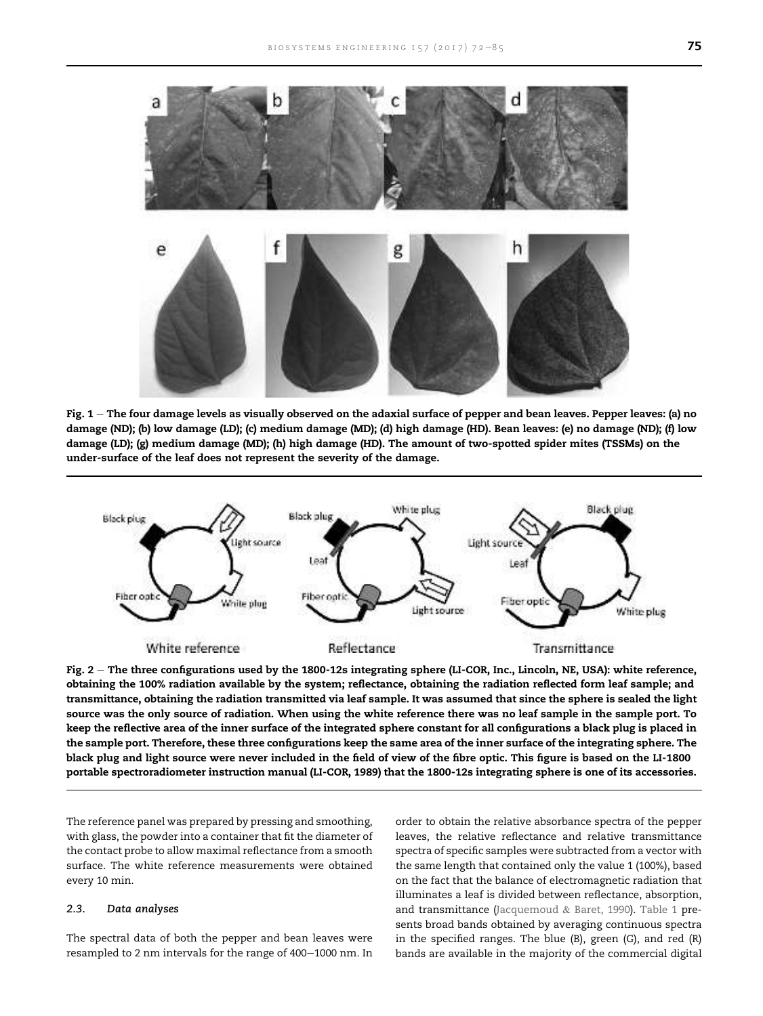

Fig.  $1$  – The four damage levels as visually observed on the adaxial surface of pepper and bean leaves. Pepper leaves: (a) no damage (ND); (b) low damage (LD); (c) medium damage (MD); (d) high damage (HD). Bean leaves: (e) no damage (ND); (f) low damage (LD); (g) medium damage (MD); (h) high damage (HD). The amount of two-spotted spider mites (TSSMs) on the under-surface of the leaf does not represent the severity of the damage.



Fig. 2 - The three configurations used by the 1800-12s integrating sphere (LI-COR, Inc., Lincoln, NE, USA): white reference, obtaining the 100% radiation available by the system; reflectance, obtaining the radiation reflected form leaf sample; and transmittance, obtaining the radiation transmitted via leaf sample. It was assumed that since the sphere is sealed the light source was the only source of radiation. When using the white reference there was no leaf sample in the sample port. To keep the reflective area of the inner surface of the integrated sphere constant for all configurations a black plug is placed in the sample port. Therefore, these three configurations keep the same area of the inner surface of the integrating sphere. The black plug and light source were never included in the field of view of the fibre optic. This figure is based on the LI-1800 portable spectroradiometer instruction manual (LI-COR, 1989) that the 1800-12s integrating sphere is one of its accessories.

The reference panel was prepared by pressing and smoothing, with glass, the powder into a container that fit the diameter of the contact probe to allow maximal reflectance from a smooth surface. The white reference measurements were obtained every 10 min.

#### 2.3. Data analyses

The spectral data of both the pepper and bean leaves were resampled to 2 nm intervals for the range of 400-1000 nm. In order to obtain the relative absorbance spectra of the pepper leaves, the relative reflectance and relative transmittance spectra of specific samples were subtracted from a vector with the same length that contained only the value 1 (100%), based on the fact that the balance of electromagnetic radiation that illuminates a leaf is divided between reflectance, absorption, and transmittance (Jacquemoud & Baret, 1990). Table 1 presents broad bands obtained by averaging continuous spectra in the specified ranges. The blue (B), green (G), and red (R) bands are available in the majority of the commercial digital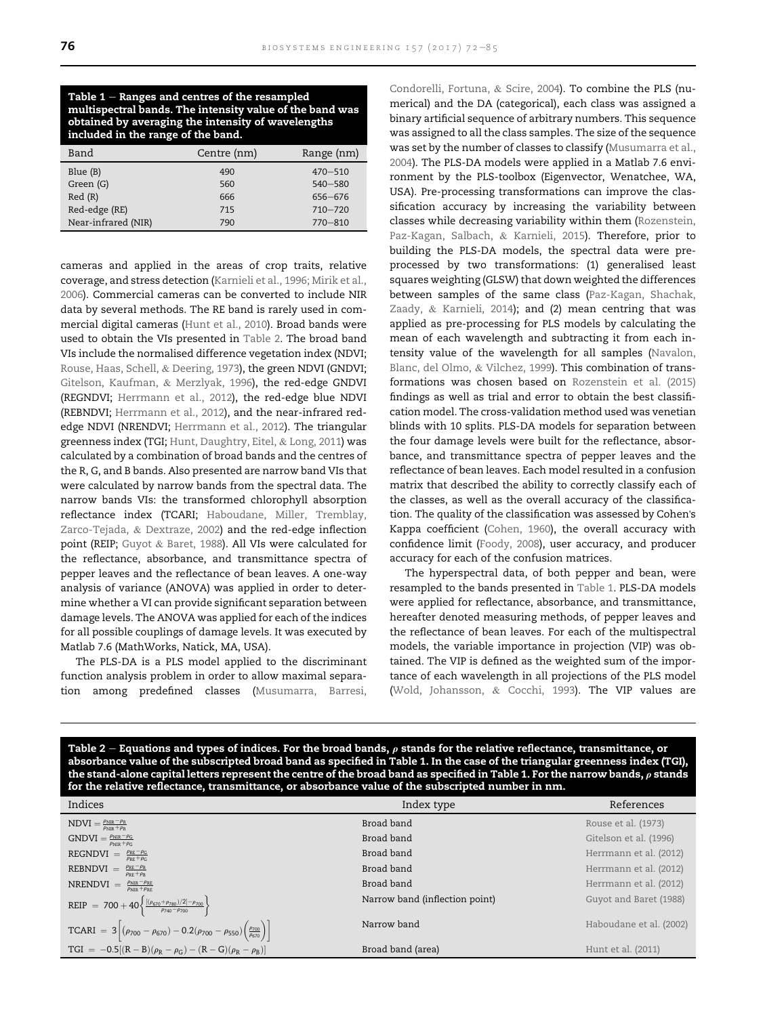Table  $1 -$  Ranges and centres of the resampled multispectral bands. The intensity value of the band was obtained by averaging the intensity of wavelengths included in the range of the band.

| Band                | Centre (nm) | Range (nm)  |
|---------------------|-------------|-------------|
| Blue (B)            | 490         | $470 - 510$ |
| Green (G)           | 560         | $540 - 580$ |
| Red(R)              | 666         | 656-676     |
| Red-edge (RE)       | 715         | $710 - 720$ |
| Near-infrared (NIR) | 790         | $770 - 810$ |

cameras and applied in the areas of crop traits, relative coverage, and stress detection (Karnieli et al., 1996; Mirik et al., 2006). Commercial cameras can be converted to include NIR data by several methods. The RE band is rarely used in commercial digital cameras (Hunt et al., 2010). Broad bands were used to obtain the VIs presented in Table 2. The broad band VIs include the normalised difference vegetation index (NDVI; Rouse, Haas, Schell, & Deering, 1973), the green NDVI (GNDVI; Gitelson, Kaufman, & Merzlyak, 1996), the red-edge GNDVI (REGNDVI; Herrmann et al., 2012), the red-edge blue NDVI (REBNDVI; Herrmann et al., 2012), and the near-infrared rededge NDVI (NRENDVI; Herrmann et al., 2012). The triangular greenness index (TGI; Hunt, Daughtry, Eitel, & Long, 2011) was calculated by a combination of broad bands and the centres of the R, G, and B bands. Also presented are narrow band VIs that were calculated by narrow bands from the spectral data. The narrow bands VIs: the transformed chlorophyll absorption reflectance index (TCARI; Haboudane, Miller, Tremblay, Zarco-Tejada, & Dextraze, 2002) and the red-edge inflection point (REIP; Guyot & Baret, 1988). All VIs were calculated for the reflectance, absorbance, and transmittance spectra of pepper leaves and the reflectance of bean leaves. A one-way analysis of variance (ANOVA) was applied in order to determine whether a VI can provide significant separation between damage levels. The ANOVA was applied for each of the indices for all possible couplings of damage levels. It was executed by Matlab 7.6 (MathWorks, Natick, MA, USA).

The PLS-DA is a PLS model applied to the discriminant function analysis problem in order to allow maximal separation among predefined classes (Musumarra, Barresi,

Condorelli, Fortuna, & Scire, 2004). To combine the PLS (numerical) and the DA (categorical), each class was assigned a binary artificial sequence of arbitrary numbers. This sequence was assigned to all the class samples. The size of the sequence was set by the number of classes to classify (Musumarra et al., 2004). The PLS-DA models were applied in a Matlab 7.6 environment by the PLS-toolbox (Eigenvector, Wenatchee, WA, USA). Pre-processing transformations can improve the classification accuracy by increasing the variability between classes while decreasing variability within them (Rozenstein, Paz-Kagan, Salbach, & Karnieli, 2015). Therefore, prior to building the PLS-DA models, the spectral data were preprocessed by two transformations: (1) generalised least squares weighting (GLSW) that down weighted the differences between samples of the same class (Paz-Kagan, Shachak, Zaady, & Karnieli, 2014); and (2) mean centring that was applied as pre-processing for PLS models by calculating the mean of each wavelength and subtracting it from each intensity value of the wavelength for all samples (Navalon, Blanc, del Olmo, & Vilchez, 1999). This combination of transformations was chosen based on Rozenstein et al. (2015) findings as well as trial and error to obtain the best classification model. The cross-validation method used was venetian blinds with 10 splits. PLS-DA models for separation between the four damage levels were built for the reflectance, absorbance, and transmittance spectra of pepper leaves and the reflectance of bean leaves. Each model resulted in a confusion matrix that described the ability to correctly classify each of the classes, as well as the overall accuracy of the classification. The quality of the classification was assessed by Cohen's Kappa coefficient (Cohen, 1960), the overall accuracy with confidence limit (Foody, 2008), user accuracy, and producer accuracy for each of the confusion matrices.

The hyperspectral data, of both pepper and bean, were resampled to the bands presented in Table 1. PLS-DA models were applied for reflectance, absorbance, and transmittance, hereafter denoted measuring methods, of pepper leaves and the reflectance of bean leaves. For each of the multispectral models, the variable importance in projection (VIP) was obtained. The VIP is defined as the weighted sum of the importance of each wavelength in all projections of the PLS model (Wold, Johansson, & Cocchi, 1993). The VIP values are

| Table 2 – Equations and types of indices. For the broad bands, $\rho$ stands for the relative reflectance, transmittance, or        |
|-------------------------------------------------------------------------------------------------------------------------------------|
| absorbance value of the subscripted broad band as specified in Table 1. In the case of the triangular greenness index (TGI),        |
| the stand-alone capital letters represent the centre of the broad band as specified in Table 1. For the narrow bands, $\rho$ stands |
| for the relative reflectance, transmittance, or absorbance value of the subscripted number in nm.                                   |

| Indices                                                                                                         | Index type                     | References              |
|-----------------------------------------------------------------------------------------------------------------|--------------------------------|-------------------------|
| $\text{NDVI} = \frac{\rho_{\text{NIR}}-\rho_{\text{R}}}{\rho_{\text{NIR}}+\rho_{\text{R}}}$                     | Broad band                     | Rouse et al. (1973)     |
| $\text{GNDVI} = \frac{\rho_{\text{NIR}} - \rho_{\text{G}}}{\rho_{\text{NIR}} + \rho_{\text{G}}}$                | Broad band                     | Gitelson et al. (1996)  |
| REGNDVI = $\frac{\rho_{RE} - \rho_G}{\rho_{RE} + \rho_G}$                                                       | Broad band                     | Herrmann et al. (2012)  |
| REBNDVI = $\frac{\rho_{RE}-\rho_B}{\rho_{RE}+\rho_B}$                                                           | Broad band                     | Herrmann et al. (2012)  |
| NRENDVI = $\frac{\rho_{\text{NIR}} - \rho_{\text{RE}}}{\rho_{\text{NIR}} + \rho_{\text{RE}}}$                   | Broad band                     | Herrmann et al. (2012)  |
| REIP = 700 + 40 $\left\{\frac{[(\rho_{670}+\rho_{780})/2]-\rho_{700}}{\rho_{740}-\rho_{700}}\right\}$           | Narrow band (inflection point) | Guyot and Baret (1988)  |
| TCARI = $3[(\rho_{700} - \rho_{670}) - 0.2(\rho_{700} - \rho_{550})\left(\frac{\rho_{700}}{\rho_{670}}\right)]$ | Narrow band                    | Haboudane et al. (2002) |
| $TGI = -0.5[(R - B)(\rho_R - \rho_G) - (R - G)(\rho_R - \rho_B)]$                                               | Broad band (area)              | Hunt et al. (2011)      |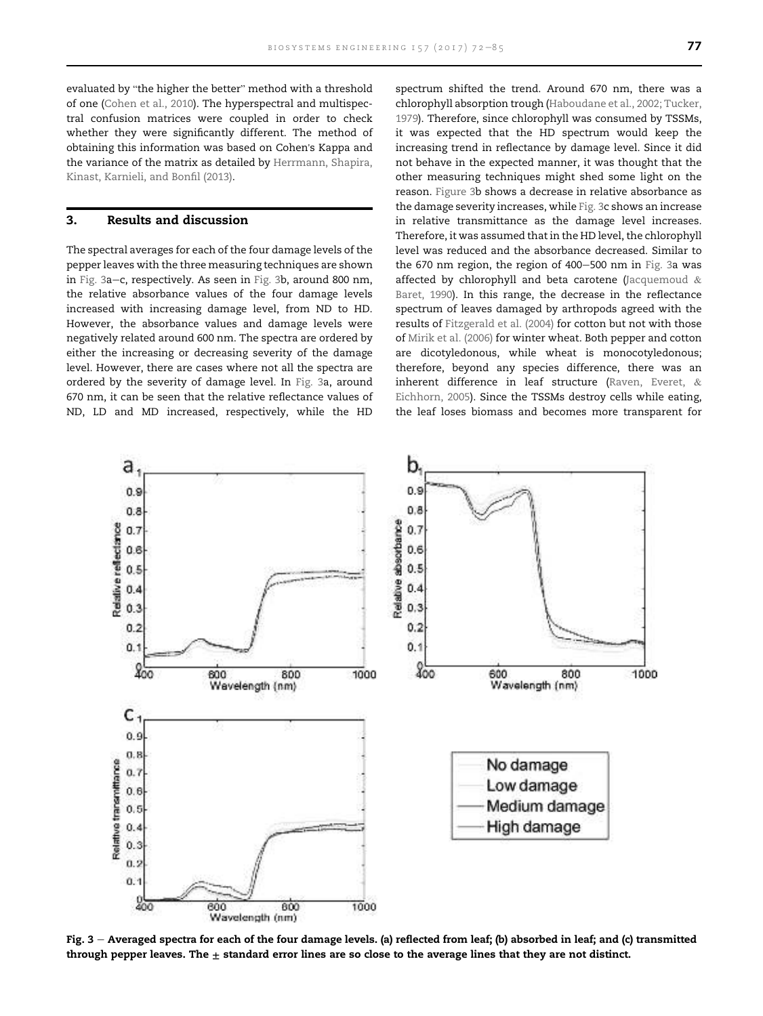evaluated by "the higher the better" method with a threshold of one (Cohen et al., 2010). The hyperspectral and multispectral confusion matrices were coupled in order to check whether they were significantly different. The method of obtaining this information was based on Cohen's Kappa and the variance of the matrix as detailed by Herrmann, Shapira, Kinast, Karnieli, and Bonfil (2013).

# 3. Results and discussion

The spectral averages for each of the four damage levels of the pepper leaves with the three measuring techniques are shown in Fig. 3a-c, respectively. As seen in Fig. 3b, around 800 nm, the relative absorbance values of the four damage levels increased with increasing damage level, from ND to HD. However, the absorbance values and damage levels were negatively related around 600 nm. The spectra are ordered by either the increasing or decreasing severity of the damage level. However, there are cases where not all the spectra are ordered by the severity of damage level. In Fig. 3a, around 670 nm, it can be seen that the relative reflectance values of ND, LD and MD increased, respectively, while the HD spectrum shifted the trend. Around 670 nm, there was a chlorophyll absorption trough (Haboudane et al., 2002; Tucker, 1979). Therefore, since chlorophyll was consumed by TSSMs, it was expected that the HD spectrum would keep the increasing trend in reflectance by damage level. Since it did not behave in the expected manner, it was thought that the other measuring techniques might shed some light on the reason. Figure 3b shows a decrease in relative absorbance as the damage severity increases, while Fig. 3c shows an increase in relative transmittance as the damage level increases. Therefore, it was assumed that in the HD level, the chlorophyll level was reduced and the absorbance decreased. Similar to the 670 nm region, the region of 400-500 nm in Fig. 3a was affected by chlorophyll and beta carotene (Jacquemoud & Baret, 1990). In this range, the decrease in the reflectance spectrum of leaves damaged by arthropods agreed with the results of Fitzgerald et al. (2004) for cotton but not with those of Mirik et al. (2006) for winter wheat. Both pepper and cotton are dicotyledonous, while wheat is monocotyledonous; therefore, beyond any species difference, there was an inherent difference in leaf structure (Raven, Everet, & Eichhorn, 2005). Since the TSSMs destroy cells while eating, the leaf loses biomass and becomes more transparent for



Fig. 3 - Averaged spectra for each of the four damage levels. (a) reflected from leaf; (b) absorbed in leaf; and (c) transmitted through pepper leaves. The  $\pm$  standard error lines are so close to the average lines that they are not distinct.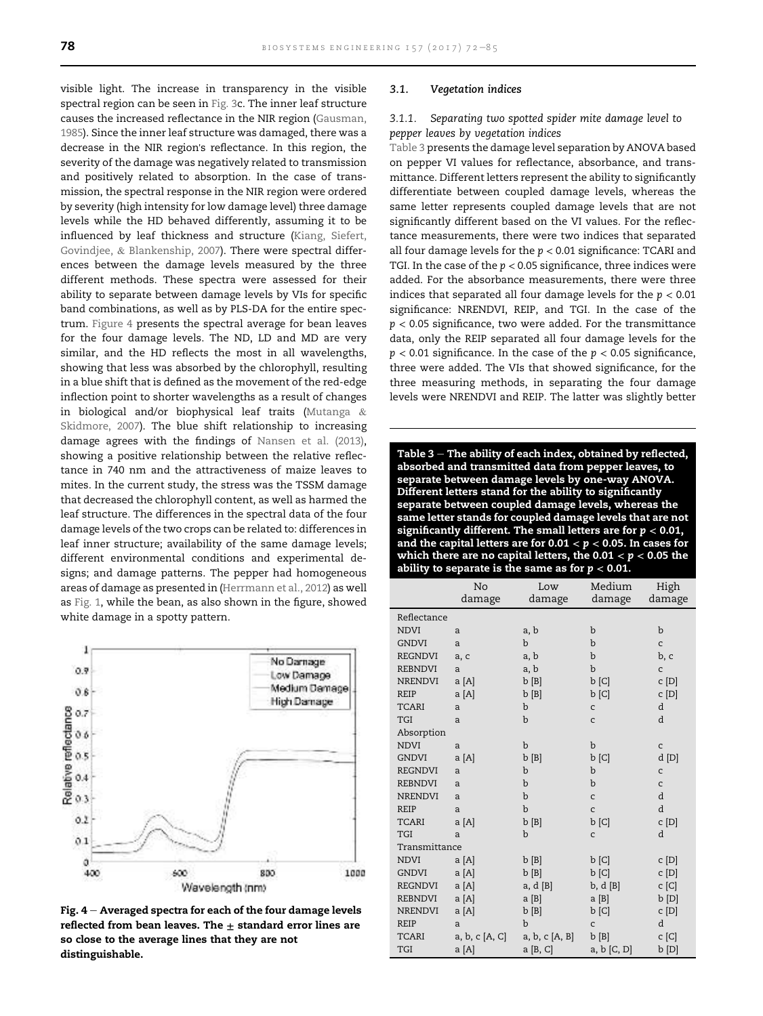visible light. The increase in transparency in the visible spectral region can be seen in Fig. 3c. The inner leaf structure causes the increased reflectance in the NIR region (Gausman, 1985). Since the inner leaf structure was damaged, there was a decrease in the NIR region's reflectance. In this region, the severity of the damage was negatively related to transmission and positively related to absorption. In the case of transmission, the spectral response in the NIR region were ordered by severity (high intensity for low damage level) three damage levels while the HD behaved differently, assuming it to be influenced by leaf thickness and structure (Kiang, Siefert, Govindjee, & Blankenship, 2007). There were spectral differences between the damage levels measured by the three different methods. These spectra were assessed for their ability to separate between damage levels by VIs for specific band combinations, as well as by PLS-DA for the entire spectrum. Figure 4 presents the spectral average for bean leaves for the four damage levels. The ND, LD and MD are very similar, and the HD reflects the most in all wavelengths, showing that less was absorbed by the chlorophyll, resulting in a blue shift that is defined as the movement of the red-edge inflection point to shorter wavelengths as a result of changes in biological and/or biophysical leaf traits (Mutanga & Skidmore, 2007). The blue shift relationship to increasing damage agrees with the findings of Nansen et al. (2013), showing a positive relationship between the relative reflectance in 740 nm and the attractiveness of maize leaves to mites. In the current study, the stress was the TSSM damage that decreased the chlorophyll content, as well as harmed the leaf structure. The differences in the spectral data of the four damage levels of the two crops can be related to: differences in leaf inner structure; availability of the same damage levels; different environmental conditions and experimental designs; and damage patterns. The pepper had homogeneous areas of damage as presented in (Herrmann et al., 2012) as well as Fig. 1, while the bean, as also shown in the figure, showed white damage in a spotty pattern.



Fig.  $4 -$  Averaged spectra for each of the four damage levels reflected from bean leaves. The  $\pm$  standard error lines are so close to the average lines that they are not distinguishable.

#### 3.1. Vegetation indices

# *3.1.1. Separating two spotted spider mite damage level to pepper leaves by vegetation indices*

Table 3 presents the damage level separation by ANOVA based on pepper VI values for reflectance, absorbance, and transmittance. Different letters represent the ability to significantly differentiate between coupled damage levels, whereas the same letter represents coupled damage levels that are not significantly different based on the VI values. For the reflectance measurements, there were two indices that separated all four damage levels for the *p* < 0.01 significance: TCARI and TGI. In the case of the  $p < 0.05$  significance, three indices were added. For the absorbance measurements, there were three indices that separated all four damage levels for the *p* < 0.01 significance: NRENDVI, REIP, and TGI. In the case of the *p* < 0.05 significance, two were added. For the transmittance data, only the REIP separated all four damage levels for the *p* < 0.01 significance. In the case of the *p* < 0.05 significance, three were added. The VIs that showed significance, for the three measuring methods, in separating the four damage levels were NRENDVI and REIP. The latter was slightly better

Table  $3$  – The ability of each index, obtained by reflected, absorbed and transmitted data from pepper leaves, to separate between damage levels by one-way ANOVA. Different letters stand for the ability to significantly separate between coupled damage levels, whereas the same letter stands for coupled damage levels that are not significantly different. The small letters are for  $p < 0.01$ , and the capital letters are for  $0.01 < p < 0.05$ . In cases for which there are no capital letters, the  $0.01 < p < 0.05$  the ability to separate is the same as for  $p < 0.01$ .

|                | No<br>damage     | Low<br>damage  | Medium<br>damage | High<br>damage |
|----------------|------------------|----------------|------------------|----------------|
|                |                  |                |                  |                |
| Reflectance    |                  |                |                  |                |
| <b>NDVI</b>    | a                | a, b           | b                | b              |
| <b>GNDVI</b>   | a                | $\mathbf b$    | $\mathbf b$      | $\mathsf{C}$   |
| <b>REGNDVI</b> | a, c             | a, b           | b                | b, c           |
| <b>REBNDVI</b> | a                | a, b           | b                | $\mathsf{C}$   |
| <b>NRENDVI</b> | a[A]             | b [B]          | $b$ [C]          | c[D]           |
| <b>REIP</b>    | a[A]             | b [B]          | $b$ [C]          | c[D]           |
| <b>TCARI</b>   | a                | $\mathbf b$    | $\mathsf{C}$     | d              |
| <b>TGI</b>     | a                | b              | $\mathsf{C}$     | d              |
| Absorption     |                  |                |                  |                |
| <b>NDVI</b>    | a                | $\mathbf b$    | b                | $\mathsf{C}$   |
| <b>GNDVI</b>   | a[A]             | b [B]          | $b$ [C]          | d[D]           |
| <b>REGNDVI</b> | a                | $\mathbf b$    | b                | $\mathsf{C}$   |
| <b>REBNDVI</b> | a                | $\mathbf b$    | b                | $\mathsf{C}$   |
| <b>NRENDVI</b> | a                | $\mathbf b$    | $\mathsf{C}$     | d              |
| <b>REIP</b>    | a                | $\mathbf b$    | $\mathsf{C}$     | d              |
| <b>TCARI</b>   | a[A]             | b [B]          | $b$ [C]          | c[D]           |
| <b>TGI</b>     | a                | b              | C                | d              |
| Transmittance  |                  |                |                  |                |
| <b>NDVI</b>    | a[A]             | b [B]          | $b$ [C]          | C[D]           |
| <b>GNDVI</b>   | a[A]             | b [B]          | $b$ [C]          | C[D]           |
| <b>REGNDVI</b> | a [A]            | $a, d$ [B]     | b, d [B]         | c [C]          |
| <b>REBNDVI</b> | a[A]             | a [B]          | a [B]            | $b$ [D]        |
| <b>NRENDVI</b> | a [A]            | $b$ [B]        | $b$ [C]          | c [D]          |
| <b>REIP</b>    | a                | b              | $\mathsf{C}$     | d              |
| <b>TCARI</b>   | a, b, c $[A, C]$ | a, b, c [A, B] | $b$ [B]          | c [C]          |
| TGI            | a [A]            | a [B, C]       | a, b [C, D]      | b [D]          |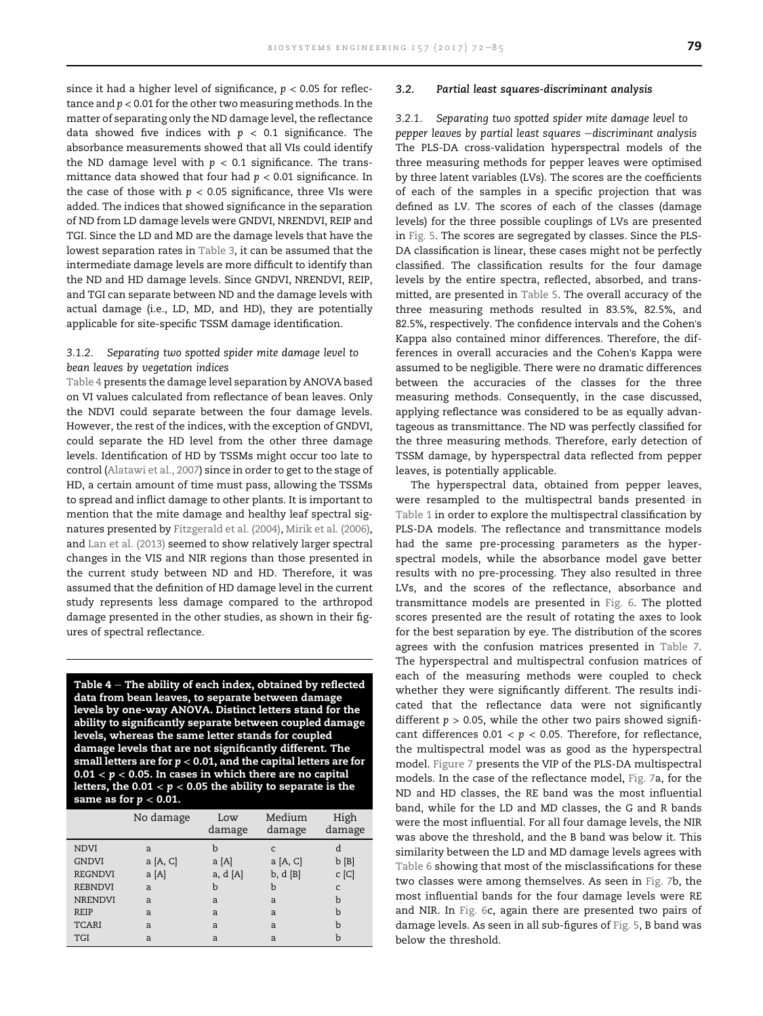since it had a higher level of significance, *p* < 0.05 for reflectance and *p* < 0.01 for the other two measuring methods. In the matter of separating only the ND damage level, the reflectance data showed five indices with  $p < 0.1$  significance. The absorbance measurements showed that all VIs could identify the ND damage level with  $p < 0.1$  significance. The transmittance data showed that four had *p* < 0.01 significance. In the case of those with  $p < 0.05$  significance, three VIs were added. The indices that showed significance in the separation of ND from LD damage levels were GNDVI, NRENDVI, REIP and TGI. Since the LD and MD are the damage levels that have the lowest separation rates in Table 3, it can be assumed that the intermediate damage levels are more difficult to identify than the ND and HD damage levels. Since GNDVI, NRENDVI, REIP, and TGI can separate between ND and the damage levels with actual damage (i.e., LD, MD, and HD), they are potentially applicable for site-specific TSSM damage identification.

# *3.1.2. Separating two spotted spider mite damage level to bean leaves by vegetation indices*

Table 4 presents the damage level separation by ANOVA based on VI values calculated from reflectance of bean leaves. Only the NDVI could separate between the four damage levels. However, the rest of the indices, with the exception of GNDVI, could separate the HD level from the other three damage levels. Identification of HD by TSSMs might occur too late to control (Alatawi et al., 2007) since in order to get to the stage of HD, a certain amount of time must pass, allowing the TSSMs to spread and inflict damage to other plants. It is important to mention that the mite damage and healthy leaf spectral signatures presented by Fitzgerald et al. (2004), Mirik et al. (2006), and Lan et al. (2013) seemed to show relatively larger spectral changes in the VIS and NIR regions than those presented in the current study between ND and HD. Therefore, it was assumed that the definition of HD damage level in the current study represents less damage compared to the arthropod damage presented in the other studies, as shown in their figures of spectral reflectance.

Table  $4$  – The ability of each index, obtained by reflected data from bean leaves, to separate between damage levels by one-way ANOVA. Distinct letters stand for the ability to significantly separate between coupled damage levels, whereas the same letter stands for coupled damage levels that are not significantly different. The small letters are for  $p < 0.01$ , and the capital letters are for  $0.01 < p < 0.05$ . In cases in which there are no capital letters, the  $0.01 < p < 0.05$  the ability to separate is the same as for  $p < 0.01$ .

|                | No damage | Low<br>damage | Medium<br>damage | High<br>damage |
|----------------|-----------|---------------|------------------|----------------|
| <b>NDVI</b>    | a         | b             | $\mathsf{C}$     | d              |
| <b>GNDVI</b>   | a [A, C]  | a[A]          | a[A, C]          | $b$ [B]        |
| <b>REGNDVI</b> | a[A]      | a, d [A]      | b, d [B]         | $c$ [C]        |
| <b>REBNDVI</b> | a         | b             | b                | $\mathbf{C}$   |
| <b>NRENDVI</b> | a         | a             | a                | b              |
| <b>REIP</b>    | a         | a             | a                | h              |
| <b>TCARI</b>   | a         | a             | a                | h              |
| <b>TGI</b>     | a         | a             | a                | b              |

#### 3.2. Partial least squares-discriminant analysis

*3.2.1. Separating two spotted spider mite damage level to pepper leaves by partial least squares -discriminant analysis* The PLS-DA cross-validation hyperspectral models of the three measuring methods for pepper leaves were optimised by three latent variables (LVs). The scores are the coefficients of each of the samples in a specific projection that was defined as LV. The scores of each of the classes (damage levels) for the three possible couplings of LVs are presented in Fig. 5. The scores are segregated by classes. Since the PLS-DA classification is linear, these cases might not be perfectly classified. The classification results for the four damage levels by the entire spectra, reflected, absorbed, and transmitted, are presented in Table 5. The overall accuracy of the three measuring methods resulted in 83.5%, 82.5%, and 82.5%, respectively. The confidence intervals and the Cohen's Kappa also contained minor differences. Therefore, the differences in overall accuracies and the Cohen's Kappa were assumed to be negligible. There were no dramatic differences between the accuracies of the classes for the three measuring methods. Consequently, in the case discussed, applying reflectance was considered to be as equally advantageous as transmittance. The ND was perfectly classified for the three measuring methods. Therefore, early detection of TSSM damage, by hyperspectral data reflected from pepper leaves, is potentially applicable.

The hyperspectral data, obtained from pepper leaves, were resampled to the multispectral bands presented in Table 1 in order to explore the multispectral classification by PLS-DA models. The reflectance and transmittance models had the same pre-processing parameters as the hyperspectral models, while the absorbance model gave better results with no pre-processing. They also resulted in three LVs, and the scores of the reflectance, absorbance and transmittance models are presented in Fig. 6. The plotted scores presented are the result of rotating the axes to look for the best separation by eye. The distribution of the scores agrees with the confusion matrices presented in Table 7. The hyperspectral and multispectral confusion matrices of each of the measuring methods were coupled to check whether they were significantly different. The results indicated that the reflectance data were not significantly different  $p > 0.05$ , while the other two pairs showed significant differences  $0.01 < p < 0.05$ . Therefore, for reflectance, the multispectral model was as good as the hyperspectral model. Figure 7 presents the VIP of the PLS-DA multispectral models. In the case of the reflectance model, Fig. 7a, for the ND and HD classes, the RE band was the most influential band, while for the LD and MD classes, the G and R bands were the most influential. For all four damage levels, the NIR was above the threshold, and the B band was below it. This similarity between the LD and MD damage levels agrees with Table 6 showing that most of the misclassifications for these two classes were among themselves. As seen in Fig. 7b, the most influential bands for the four damage levels were RE and NIR. In Fig. 6c, again there are presented two pairs of damage levels. As seen in all sub-figures of Fig. 5, B band was below the threshold.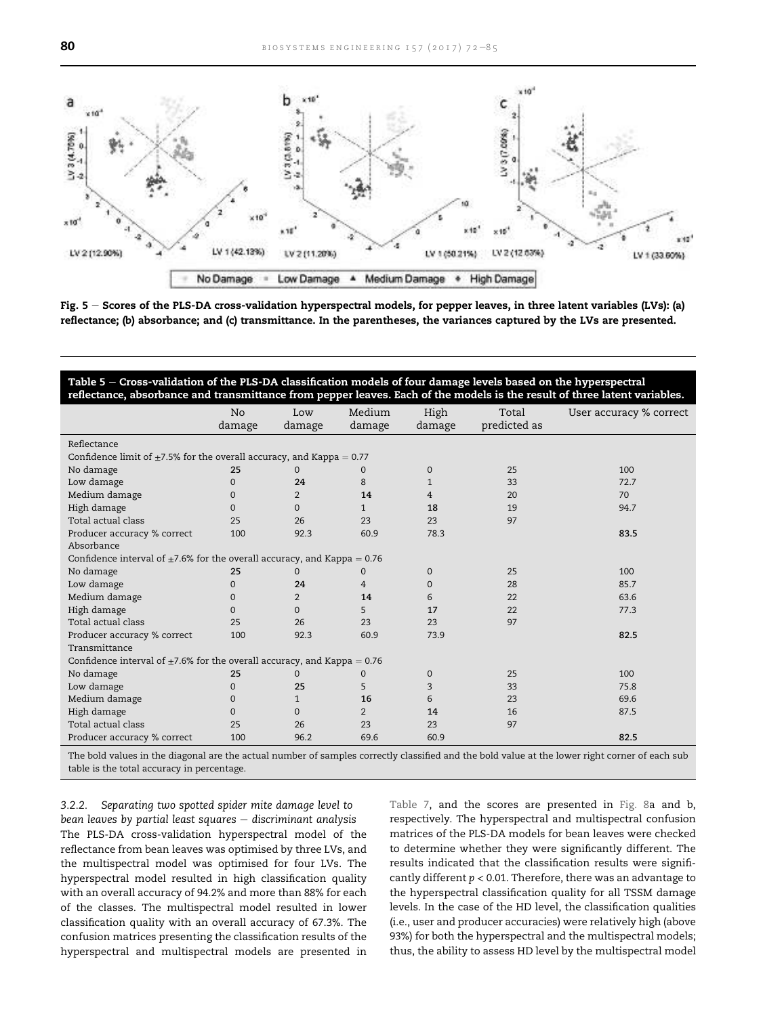

Fig. 5 - Scores of the PLS-DA cross-validation hyperspectral models, for pepper leaves, in three latent variables (LVs): (a) reflectance; (b) absorbance; and (c) transmittance. In the parentheses, the variances captured by the LVs are presented.

| Table 5 - Cross-validation of the PLS-DA classification models of four damage levels based on the hyperspectral<br>reflectance, absorbance and transmittance from pepper leaves. Each of the models is the result of three latent variables. |                          |                |                  |                |                       |                         |
|----------------------------------------------------------------------------------------------------------------------------------------------------------------------------------------------------------------------------------------------|--------------------------|----------------|------------------|----------------|-----------------------|-------------------------|
|                                                                                                                                                                                                                                              | N <sub>o</sub><br>damage | Low<br>damage  | Medium<br>damage | High<br>damage | Total<br>predicted as | User accuracy % correct |
| Reflectance                                                                                                                                                                                                                                  |                          |                |                  |                |                       |                         |
| Confidence limit of $\pm$ 7.5% for the overall accuracy, and Kappa = 0.77                                                                                                                                                                    |                          |                |                  |                |                       |                         |
| No damage                                                                                                                                                                                                                                    | 25                       | $\Omega$       | $\mathbf{0}$     | $\mathbf{0}$   | 25                    | 100                     |
| Low damage                                                                                                                                                                                                                                   | $\mathbf{0}$             | 24             | 8                | $\mathbf{1}$   | 33                    | 72.7                    |
| Medium damage                                                                                                                                                                                                                                | $\Omega$                 | 2              | 14               | $\overline{4}$ | 20                    | 70                      |
| High damage                                                                                                                                                                                                                                  | $\Omega$                 | $\Omega$       | $\mathbf{1}$     | 18             | 19                    | 94.7                    |
| Total actual class                                                                                                                                                                                                                           | 25                       | 26             | 23               | 23             | 97                    |                         |
| Producer accuracy % correct                                                                                                                                                                                                                  | 100                      | 92.3           | 60.9             | 78.3           |                       | 83.5                    |
| Absorbance                                                                                                                                                                                                                                   |                          |                |                  |                |                       |                         |
| Confidence interval of $\pm$ 7.6% for the overall accuracy, and Kappa = 0.76                                                                                                                                                                 |                          |                |                  |                |                       |                         |
| No damage                                                                                                                                                                                                                                    | 25                       | $\Omega$       | $\mathbf{0}$     | $\mathbf{0}$   | 25                    | 100                     |
| Low damage                                                                                                                                                                                                                                   | $\mathbf{0}$             | 24             | 4                | $\Omega$       | 28                    | 85.7                    |
| Medium damage                                                                                                                                                                                                                                | $\mathbf{0}$             | $\overline{2}$ | 14               | 6              | 22                    | 63.6                    |
| High damage                                                                                                                                                                                                                                  | $\Omega$                 | $\Omega$       | 5                | 17             | 22                    | 77.3                    |
| Total actual class                                                                                                                                                                                                                           | 25                       | 26             | 23               | 23             | 97                    |                         |
| Producer accuracy % correct                                                                                                                                                                                                                  | 100                      | 92.3           | 60.9             | 73.9           |                       | 82.5                    |
| Transmittance                                                                                                                                                                                                                                |                          |                |                  |                |                       |                         |
| Confidence interval of $\pm$ 7.6% for the overall accuracy, and Kappa = 0.76                                                                                                                                                                 |                          |                |                  |                |                       |                         |
| No damage                                                                                                                                                                                                                                    | 25                       | $\Omega$       | $\mathbf{0}$     | $\mathbf{0}$   | 25                    | 100                     |
| Low damage                                                                                                                                                                                                                                   | $\mathbf{0}$             | 25             | 5                | 3              | 33                    | 75.8                    |
| Medium damage                                                                                                                                                                                                                                | $\Omega$                 | $\mathbf{1}$   | 16               | 6              | 23                    | 69.6                    |
| High damage                                                                                                                                                                                                                                  | $\Omega$                 | $\Omega$       | $\overline{2}$   | 14             | 16                    | 87.5                    |
| Total actual class                                                                                                                                                                                                                           | 25                       | 26             | 23               | 23             | 97                    |                         |
| Producer accuracy % correct                                                                                                                                                                                                                  | 100                      | 96.2           | 69.6             | 60.9           |                       | 82.5                    |
| The bold values in the diagonal are the actual number of samples correctly classified and the bold value at the lower right corner of each sub                                                                                               |                          |                |                  |                |                       |                         |

table is the total accuracy in percentage.

*3.2.2. Separating two spotted spider mite damage level to bean leaves by partial least squares - discriminant analysis* The PLS-DA cross-validation hyperspectral model of the reflectance from bean leaves was optimised by three LVs, and the multispectral model was optimised for four LVs. The hyperspectral model resulted in high classification quality with an overall accuracy of 94.2% and more than 88% for each of the classes. The multispectral model resulted in lower classification quality with an overall accuracy of 67.3%. The confusion matrices presenting the classification results of the hyperspectral and multispectral models are presented in Table 7, and the scores are presented in Fig. 8a and b, respectively. The hyperspectral and multispectral confusion matrices of the PLS-DA models for bean leaves were checked to determine whether they were significantly different. The results indicated that the classification results were significantly different *p* < 0.01. Therefore, there was an advantage to the hyperspectral classification quality for all TSSM damage levels. In the case of the HD level, the classification qualities (i.e., user and producer accuracies) were relatively high (above 93%) for both the hyperspectral and the multispectral models; thus, the ability to assess HD level by the multispectral model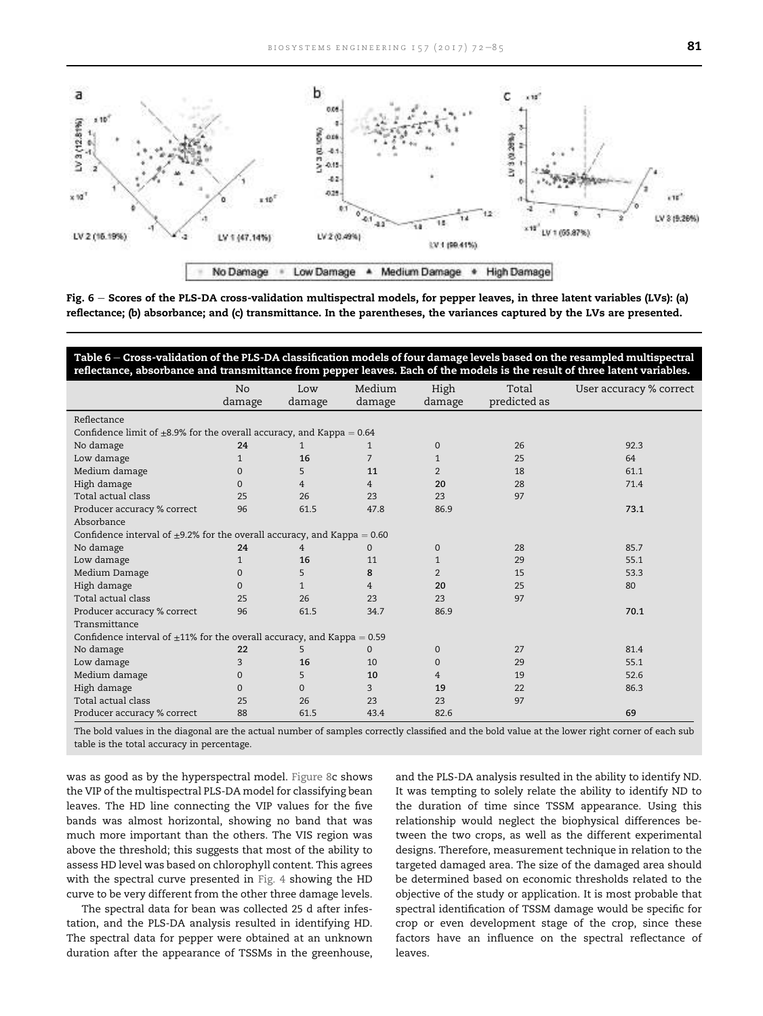

Fig. 6 - Scores of the PLS-DA cross-validation multispectral models, for pepper leaves, in three latent variables (LVs): (a) reflectance; (b) absorbance; and (c) transmittance. In the parentheses, the variances captured by the LVs are presented.

| Table 6 – Cross-validation of the PLS-DA classification models of four damage levels based on the resampled multispectral<br>reflectance, absorbance and transmittance from pepper leaves. Each of the models is the result of three latent variables.                                                                                                |                |                |                |                |              |                         |
|-------------------------------------------------------------------------------------------------------------------------------------------------------------------------------------------------------------------------------------------------------------------------------------------------------------------------------------------------------|----------------|----------------|----------------|----------------|--------------|-------------------------|
|                                                                                                                                                                                                                                                                                                                                                       | N <sub>o</sub> | Low            | Medium         | High           | Total        | User accuracy % correct |
|                                                                                                                                                                                                                                                                                                                                                       | damage         | damage         | damage         | damage         | predicted as |                         |
| Reflectance                                                                                                                                                                                                                                                                                                                                           |                |                |                |                |              |                         |
| Confidence limit of $\pm$ 8.9% for the overall accuracy, and Kappa = 0.64                                                                                                                                                                                                                                                                             |                |                |                |                |              |                         |
| No damage                                                                                                                                                                                                                                                                                                                                             | 24             | 1              | 1              | $\Omega$       | 26           | 92.3                    |
| Low damage                                                                                                                                                                                                                                                                                                                                            | $\mathbf{1}$   | 16             | $\overline{7}$ | $\mathbf{1}$   | 25           | 64                      |
| Medium damage                                                                                                                                                                                                                                                                                                                                         | $\Omega$       | 5              | 11             | $\overline{2}$ | 18           | 61.1                    |
| High damage                                                                                                                                                                                                                                                                                                                                           | $\Omega$       | $\overline{4}$ | $\overline{4}$ | 20             | 28           | 71.4                    |
| Total actual class                                                                                                                                                                                                                                                                                                                                    | 25             | 26             | 23             | 23             | 97           |                         |
| Producer accuracy % correct                                                                                                                                                                                                                                                                                                                           | 96             | 61.5           | 47.8           | 86.9           |              | 73.1                    |
| Absorbance                                                                                                                                                                                                                                                                                                                                            |                |                |                |                |              |                         |
| Confidence interval of $\pm$ 9.2% for the overall accuracy, and Kappa = 0.60                                                                                                                                                                                                                                                                          |                |                |                |                |              |                         |
| No damage                                                                                                                                                                                                                                                                                                                                             | 24             | 4              | $\Omega$       | $\Omega$       | 28           | 85.7                    |
| Low damage                                                                                                                                                                                                                                                                                                                                            | $\mathbf{1}$   | 16             | 11             | $\mathbf{1}$   | 29           | 55.1                    |
| Medium Damage                                                                                                                                                                                                                                                                                                                                         | $\Omega$       | 5              | 8              | $\overline{2}$ | 15           | 53.3                    |
| High damage                                                                                                                                                                                                                                                                                                                                           | $\Omega$       | 1              | $\overline{4}$ | 20             | 25           | 80                      |
| Total actual class                                                                                                                                                                                                                                                                                                                                    | 25             | 26             | 23             | 23             | 97           |                         |
| Producer accuracy % correct                                                                                                                                                                                                                                                                                                                           | 96             | 61.5           | 34.7           | 86.9           |              | 70.1                    |
| Transmittance                                                                                                                                                                                                                                                                                                                                         |                |                |                |                |              |                         |
| Confidence interval of $\pm$ 11% for the overall accuracy, and Kappa = 0.59                                                                                                                                                                                                                                                                           |                |                |                |                |              |                         |
| No damage                                                                                                                                                                                                                                                                                                                                             | 22             | 5              | $\Omega$       | $\Omega$       | 27           | 81.4                    |
| Low damage                                                                                                                                                                                                                                                                                                                                            | 3              | 16             | 10             | $\Omega$       | 29           | 55.1                    |
| Medium damage                                                                                                                                                                                                                                                                                                                                         | $\Omega$       | 5              | 10             | $\overline{4}$ | 19           | 52.6                    |
| High damage                                                                                                                                                                                                                                                                                                                                           | $\Omega$       | $\Omega$       | $\mathbf{R}$   | 19             | 22           | 86.3                    |
| Total actual class                                                                                                                                                                                                                                                                                                                                    | 25             | 26             | 23             | 23             | 97           |                         |
| Producer accuracy % correct                                                                                                                                                                                                                                                                                                                           | 88             | 61.5           | 43.4           | 82.6           |              | 69                      |
| mille is a final completed of the state of the state of the state of the final complete of the state of the state of the state of the state of the state of the state of the state of the state of the state of the state of t<br>ومحمدها والمنافس والمتعاقب المنافي المنافي والمنافس والمستنقل والمنافس والمستند<br>الملابين الأعامل ومساويا المملكة |                |                |                |                |              |                         |

The bold values in the diagonal are the actual number of samples correctly classified and the bold value at the lower right corner of each sub table is the total accuracy in percentage.

was as good as by the hyperspectral model. Figure 8c shows the VIP of the multispectral PLS-DA model for classifying bean leaves. The HD line connecting the VIP values for the five bands was almost horizontal, showing no band that was much more important than the others. The VIS region was above the threshold; this suggests that most of the ability to assess HD level was based on chlorophyll content. This agrees with the spectral curve presented in Fig. 4 showing the HD curve to be very different from the other three damage levels.

The spectral data for bean was collected 25 d after infestation, and the PLS-DA analysis resulted in identifying HD. The spectral data for pepper were obtained at an unknown duration after the appearance of TSSMs in the greenhouse,

and the PLS-DA analysis resulted in the ability to identify ND. It was tempting to solely relate the ability to identify ND to the duration of time since TSSM appearance. Using this relationship would neglect the biophysical differences between the two crops, as well as the different experimental designs. Therefore, measurement technique in relation to the targeted damaged area. The size of the damaged area should be determined based on economic thresholds related to the objective of the study or application. It is most probable that spectral identification of TSSM damage would be specific for crop or even development stage of the crop, since these factors have an influence on the spectral reflectance of leaves.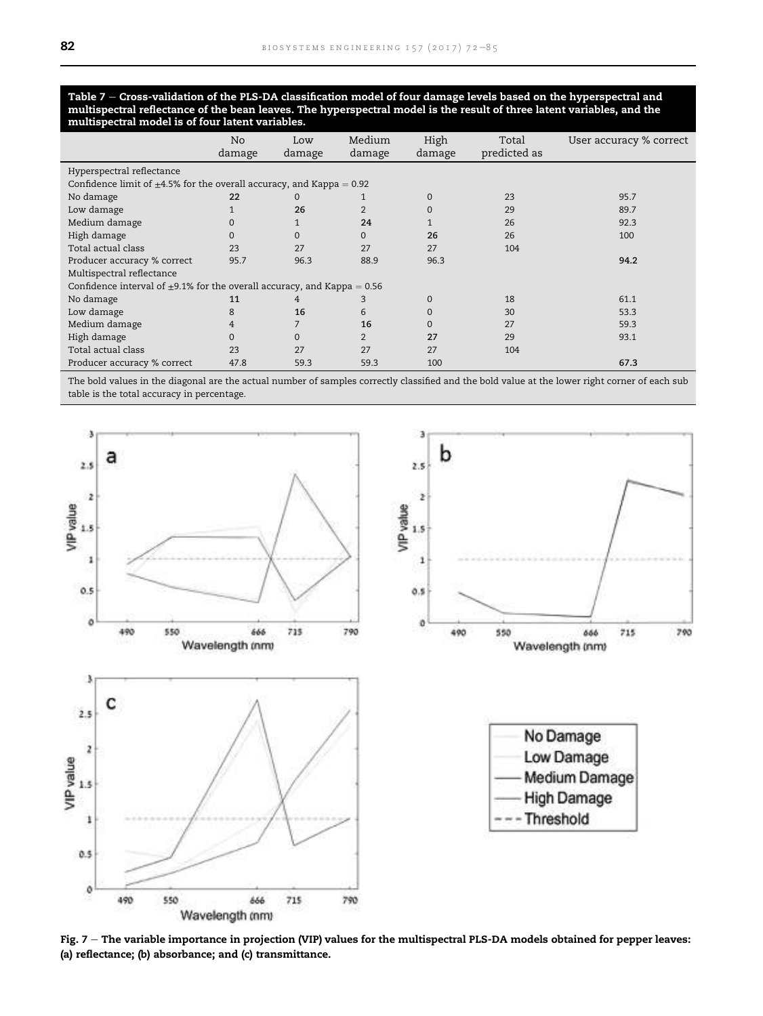Table  $7$  – Cross-validation of the PLS-DA classification model of four damage levels based on the hyperspectral and multispectral reflectance of the bean leaves. The hyperspectral model is the result of three latent variables, and the multispectral model is of four latent variables.

|                                                                              | N <sub>o</sub><br>damage | Low<br>damage | Medium<br>damage | High<br>damage | Total<br>predicted as | User accuracy % correct |
|------------------------------------------------------------------------------|--------------------------|---------------|------------------|----------------|-----------------------|-------------------------|
| Hyperspectral reflectance                                                    |                          |               |                  |                |                       |                         |
| Confidence limit of $\pm$ 4.5% for the overall accuracy, and Kappa = 0.92    |                          |               |                  |                |                       |                         |
| No damage                                                                    | 22                       | $\Omega$      |                  | $\Omega$       | 23                    | 95.7                    |
| Low damage                                                                   |                          | 26            | $\overline{2}$   | $\Omega$       | 29                    | 89.7                    |
| Medium damage                                                                | 0                        |               | 24               |                | 26                    | 92.3                    |
| High damage                                                                  | $\Omega$                 | $\Omega$      | $\Omega$         | 26             | 26                    | 100                     |
| Total actual class                                                           | 23                       | 27            | 27               | 27             | 104                   |                         |
| Producer accuracy % correct                                                  | 95.7                     | 96.3          | 88.9             | 96.3           |                       | 94.2                    |
| Multispectral reflectance                                                    |                          |               |                  |                |                       |                         |
| Confidence interval of $\pm$ 9.1% for the overall accuracy, and Kappa = 0.56 |                          |               |                  |                |                       |                         |
| No damage                                                                    | 11                       | 4             | 3                | $\Omega$       | 18                    | 61.1                    |
| Low damage                                                                   | 8                        | 16            | 6                | $\Omega$       | 30                    | 53.3                    |
| Medium damage                                                                | 4                        |               | 16               | $\Omega$       | 27                    | 59.3                    |
| High damage                                                                  | $\Omega$                 | $\Omega$      | $\overline{2}$   | 27             | 29                    | 93.1                    |
| Total actual class                                                           | 23                       | 27            | 27               | 27             | 104                   |                         |
| Producer accuracy % correct                                                  | 47.8                     | 59.3          | 59.3             | 100            |                       | 67.3                    |

The bold values in the diagonal are the actual number of samples correctly classified and the bold value at the lower right corner of each sub table is the total accuracy in percentage.



Fig. 7 - The variable importance in projection (VIP) values for the multispectral PLS-DA models obtained for pepper leaves: (a) reflectance; (b) absorbance; and (c) transmittance.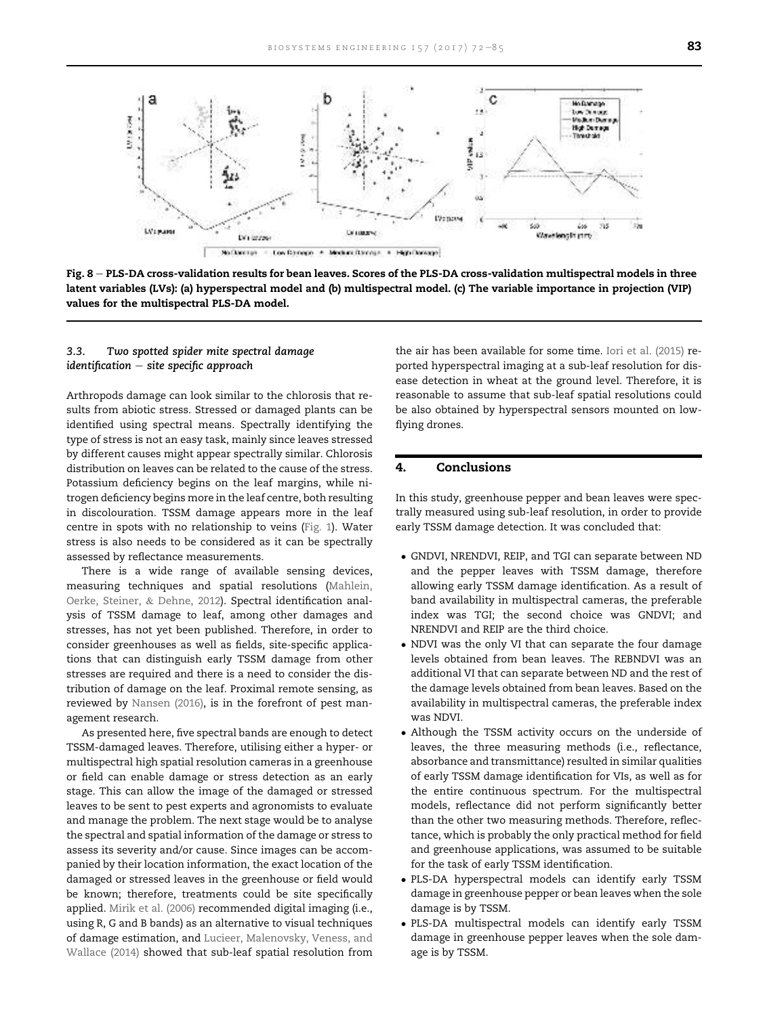



## 3.3. Two spotted spider mite spectral damage  $identification - site specific approach$

Arthropods damage can look similar to the chlorosis that results from abiotic stress. Stressed or damaged plants can be identified using spectral means. Spectrally identifying the type of stress is not an easy task, mainly since leaves stressed by different causes might appear spectrally similar. Chlorosis distribution on leaves can be related to the cause of the stress. Potassium deficiency begins on the leaf margins, while nitrogen deficiency begins more in the leaf centre, both resulting in discolouration. TSSM damage appears more in the leaf centre in spots with no relationship to veins (Fig. 1). Water stress is also needs to be considered as it can be spectrally assessed by reflectance measurements.

There is a wide range of available sensing devices, measuring techniques and spatial resolutions (Mahlein, Oerke, Steiner, & Dehne, 2012). Spectral identification analysis of TSSM damage to leaf, among other damages and stresses, has not yet been published. Therefore, in order to consider greenhouses as well as fields, site-specific applications that can distinguish early TSSM damage from other stresses are required and there is a need to consider the distribution of damage on the leaf. Proximal remote sensing, as reviewed by Nansen (2016), is in the forefront of pest management research.

As presented here, five spectral bands are enough to detect TSSM-damaged leaves. Therefore, utilising either a hyper- or multispectral high spatial resolution cameras in a greenhouse or field can enable damage or stress detection as an early stage. This can allow the image of the damaged or stressed leaves to be sent to pest experts and agronomists to evaluate and manage the problem. The next stage would be to analyse the spectral and spatial information of the damage or stress to assess its severity and/or cause. Since images can be accompanied by their location information, the exact location of the damaged or stressed leaves in the greenhouse or field would be known; therefore, treatments could be site specifically applied. Mirik et al. (2006) recommended digital imaging (i.e., using R, G and B bands) as an alternative to visual techniques of damage estimation, and Lucieer, Malenovsky, Veness, and Wallace (2014) showed that sub-leaf spatial resolution from

the air has been available for some time. Iori et al. (2015) reported hyperspectral imaging at a sub-leaf resolution for disease detection in wheat at the ground level. Therefore, it is reasonable to assume that sub-leaf spatial resolutions could be also obtained by hyperspectral sensors mounted on lowflying drones.

# 4. Conclusions

In this study, greenhouse pepper and bean leaves were spectrally measured using sub-leaf resolution, in order to provide early TSSM damage detection. It was concluded that:

- GNDVI, NRENDVI, REIP, and TGI can separate between ND and the pepper leaves with TSSM damage, therefore allowing early TSSM damage identification. As a result of band availability in multispectral cameras, the preferable index was TGI; the second choice was GNDVI; and NRENDVI and REIP are the third choice.
- NDVI was the only VI that can separate the four damage levels obtained from bean leaves. The REBNDVI was an additional VI that can separate between ND and the rest of the damage levels obtained from bean leaves. Based on the availability in multispectral cameras, the preferable index was NDVI.
- Although the TSSM activity occurs on the underside of leaves, the three measuring methods (i.e., reflectance, absorbance and transmittance) resulted in similar qualities of early TSSM damage identification for VIs, as well as for the entire continuous spectrum. For the multispectral models, reflectance did not perform significantly better than the other two measuring methods. Therefore, reflectance, which is probably the only practical method for field and greenhouse applications, was assumed to be suitable for the task of early TSSM identification.
- PLS-DA hyperspectral models can identify early TSSM damage in greenhouse pepper or bean leaves when the sole damage is by TSSM.
- PLS-DA multispectral models can identify early TSSM damage in greenhouse pepper leaves when the sole damage is by TSSM.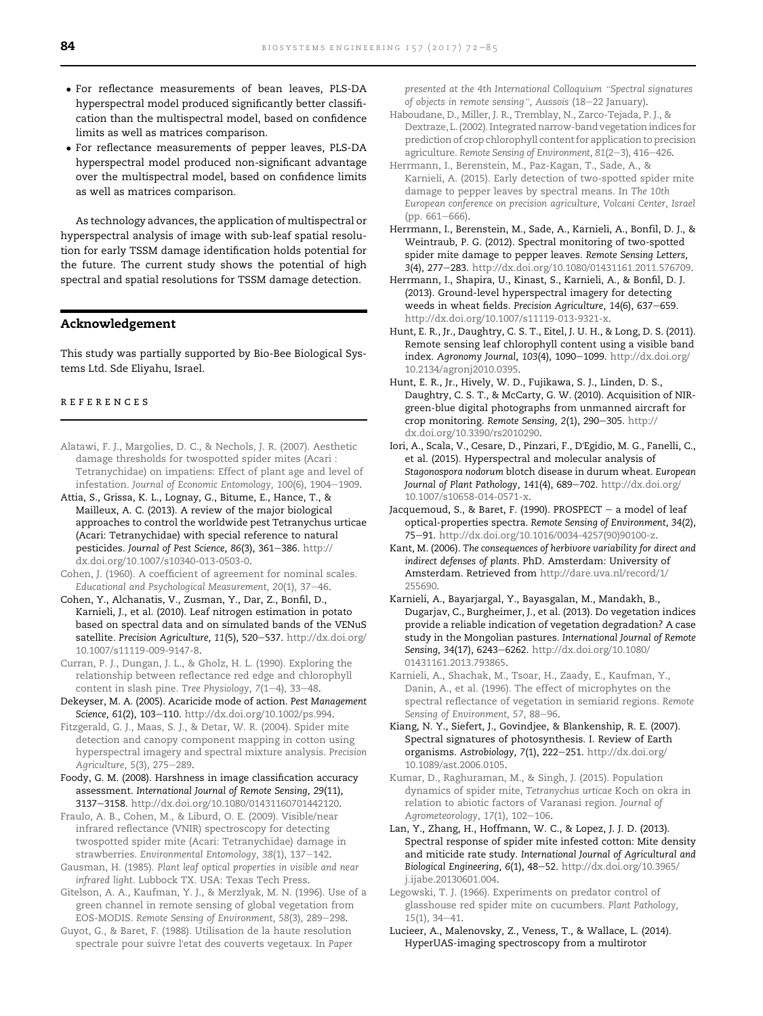- For reflectance measurements of bean leaves, PLS-DA hyperspectral model produced significantly better classification than the multispectral model, based on confidence limits as well as matrices comparison.
- For reflectance measurements of pepper leaves, PLS-DA hyperspectral model produced non-significant advantage over the multispectral model, based on confidence limits as well as matrices comparison.

As technology advances, the application of multispectral or hyperspectral analysis of image with sub-leaf spatial resolution for early TSSM damage identification holds potential for the future. The current study shows the potential of high spectral and spatial resolutions for TSSM damage detection.

# Acknowledgement

This study was partially supported by Bio-Bee Biological Systems Ltd. Sde Eliyahu, Israel.

#### references

- Alatawi, F. J., Margolies, D. C., & Nechols, J. R. (2007). Aesthetic damage thresholds for twospotted spider mites (Acari : Tetranychidae) on impatiens: Effect of plant age and level of infestation. *Journal of Economic Entomology*, 100(6), 1904-1909.
- Attia, S., Grissa, K. L., Lognay, G., Bitume, E., Hance, T., & Mailleux, A. C. (2013). A review of the major biological approaches to control the worldwide pest Tetranychus urticae (Acari: Tetranychidae) with special reference to natural pesticides. Journal of Pest Science, 86(3), 361-386. http:// dx.doi.org/10.1007/s10340-013-0503-0.
- Cohen, J. (1960). A coefficient of agreement for nominal scales. Educational and Psychological Measurement, 20(1), 37-46.
- Cohen, Y., Alchanatis, V., Zusman, Y., Dar, Z., Bonfil, D., Karnieli, J., et al. (2010). Leaf nitrogen estimation in potato based on spectral data and on simulated bands of the VENuS satellite. Precision Agriculture, 11(5), 520-537. http://dx.doi.org/ 10.1007/s11119-009-9147-8.
- Curran, P. J., Dungan, J. L., & Gholz, H. L. (1990). Exploring the relationship between reflectance red edge and chlorophyll content in slash pine. *Tree Physiology*, 7(1-4), 33-48.
- Dekeyser, M. A. (2005). Acaricide mode of action. *Pest Management* Science, 61(2), 103-110. http://dx.doi.org/10.1002/ps.994.
- Fitzgerald, G. J., Maas, S. J., & Detar, W. R. (2004). Spider mite detection and canopy component mapping in cotton using hyperspectral imagery and spectral mixture analysis. *Precision Agriculture, 5(3), 275-289.*
- Foody, G. M. (2008). Harshness in image classification accuracy assessment. *International Journal of Remote Sensing, 29*(11), 3137e3158. http://dx.doi.org/10.1080/01431160701442120.
- Fraulo, A. B., Cohen, M., & Liburd, O. E. (2009). Visible/near infrared reflectance (VNIR) spectroscopy for detecting twospotted spider mite (Acari: Tetranychidae) damage in strawberries. *Environmental Entomology*, 38(1), 137-142.
- Gausman, H. (1985). *Plant leaf optical properties in visible and near infrared light*. Lubbock TX. USA: Texas Tech Press.
- Gitelson, A. A., Kaufman, Y. J., & Merzlyak, M. N. (1996). Use of a green channel in remote sensing of global vegetation from EOS-MODIS. Remote Sensing of Environment, 58(3), 289-298.
- Guyot, G., & Baret, F. (1988). Utilisation de la haute resolution spectrale pour suivre l'etat des couverts vegetaux. In *Paper*

*presented at the 4th International Colloquium* "*Spectral signatures of objects in remote sensing"*, Aussois (18-22 January).

- Haboudane, D., Miller, J. R., Tremblay, N., Zarco-Tejada, P. J., & Dextraze, L. (2002). Integrated narrow-band vegetation indices for prediction of crop chlorophyll content for application to precision agriculture. *Remote Sensing of Environment*, 81(2-3), 416-426.
- Herrmann, I., Berenstein, M., Paz-Kagan, T., Sade, A., & Karnieli, A. (2015). Early detection of two-spotted spider mite damage to pepper leaves by spectral means. In *The 10th European conference on precision agriculture, Volcani Center, Israel*  $(pp. 661-666)$ .
- Herrmann, I., Berenstein, M., Sade, A., Karnieli, A., Bonfil, D. J., & Weintraub, P. G. (2012). Spectral monitoring of two-spotted spider mite damage to pepper leaves. *Remote Sensing Letters,* 3(4), 277-283. http://dx.doi.org/10.1080/01431161.2011.576709.
- Herrmann, I., Shapira, U., Kinast, S., Karnieli, A., & Bonfil, D. J. (2013). Ground-level hyperspectral imagery for detecting weeds in wheat fields. Precision Agriculture, 14(6), 637-659. http://dx.doi.org/10.1007/s11119-013-9321-x.
- Hunt, E. R., Jr., Daughtry, C. S. T., Eitel, J. U. H., & Long, D. S. (2011). Remote sensing leaf chlorophyll content using a visible band index. Agronomy Journal, 103(4), 1090-1099. http://dx.doi.org/ 10.2134/agronj2010.0395.
- Hunt, E. R., Jr., Hively, W. D., Fujikawa, S. J., Linden, D. S., Daughtry, C. S. T., & McCarty, G. W. (2010). Acquisition of NIRgreen-blue digital photographs from unmanned aircraft for crop monitoring. Remote Sensing, 2(1), 290-305. http:// dx.doi.org/10.3390/rs2010290.
- Iori, A., Scala, V., Cesare, D., Pinzari, F., D'Egidio, M. G., Fanelli, C., et al. (2015). Hyperspectral and molecular analysis of *Stagonospora nodorum* blotch disease in durum wheat. *European* Journal of Plant Pathology, 141(4), 689-702. http://dx.doi.org/ 10.1007/s10658-014-0571-x.
- Jacquemoud, S., & Baret, F. (1990). PROSPECT  $-$  a model of leaf optical-properties spectra. *Remote Sensing of Environment, 34*(2), 75-91. http://dx.doi.org/10.1016/0034-4257(90)90100-z.
- Kant, M. (2006). *The consequences of herbivore variability for direct and indirect defenses of plants*. PhD. Amsterdam: University of Amsterdam. Retrieved from http://dare.uva.nl/record/1/ 255690.
- Karnieli, A., Bayarjargal, Y., Bayasgalan, M., Mandakh, B., Dugarjav, C., Burgheimer, J., et al. (2013). Do vegetation indices provide a reliable indication of vegetation degradation? A case study in the Mongolian pastures. *International Journal of Remote* Sensing, 34(17), 6243-6262. http://dx.doi.org/10.1080/ 01431161.2013.793865.
- Karnieli, A., Shachak, M., Tsoar, H., Zaady, E., Kaufman, Y., Danin, A., et al. (1996). The effect of microphytes on the spectral reflectance of vegetation in semiarid regions. *Remote* Sensing of Environment, 57, 88-96.
- Kiang, N. Y., Siefert, J., Govindjee, & Blankenship, R. E. (2007). Spectral signatures of photosynthesis. I. Review of Earth organisms. Astrobiology, 7(1), 222-251. http://dx.doi.org/ 10.1089/ast.2006.0105.
- Kumar, D., Raghuraman, M., & Singh, J. (2015). Population dynamics of spider mite, *Tetranychus urticae* Koch on okra in relation to abiotic factors of Varanasi region. *Journal of* Agrometeorology, 17(1), 102-106.
- Lan, Y., Zhang, H., Hoffmann, W. C., & Lopez, J. J. D. (2013). Spectral response of spider mite infested cotton: Mite density and miticide rate study. *International Journal of Agricultural and* Biological Engineering, 6(1), 48-52. http://dx.doi.org/10.3965/ j.ijabe.20130601.004.
- Legowski, T. J. (1966). Experiments on predator control of glasshouse red spider mite on cucumbers. *Plant Pathology,* 15(1), 34-41.
- Lucieer, A., Malenovsky, Z., Veness, T., & Wallace, L. (2014). HyperUAS-imaging spectroscopy from a multirotor